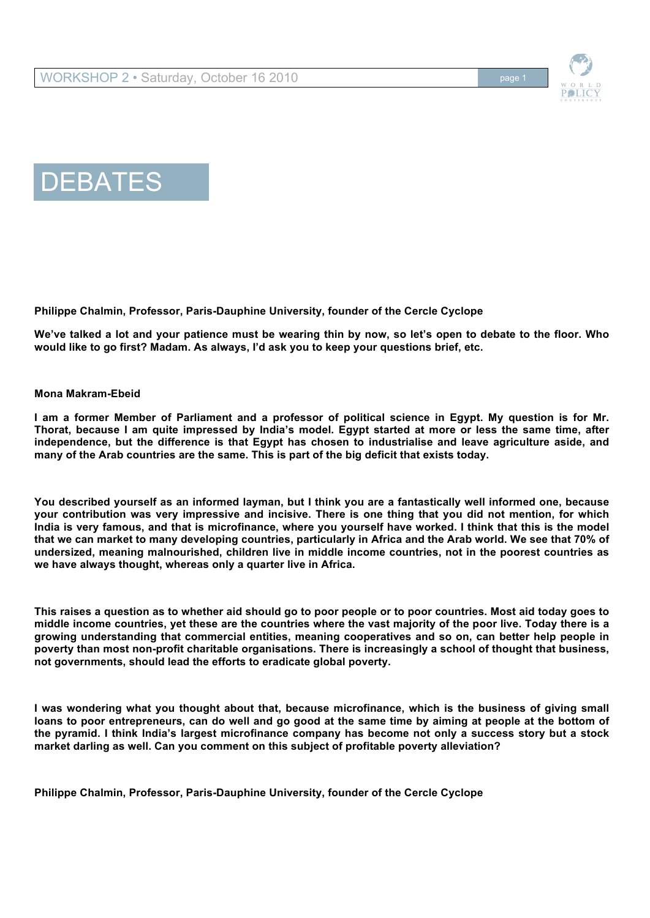





**We've talked a lot and your patience must be wearing thin by now, so let's open to debate to the floor. Who would like to go first? Madam. As always, I'd ask you to keep your questions brief, etc.** 

## **Mona Makram-Ebeid**

**I am a former Member of Parliament and a professor of political science in Egypt. My question is for Mr. Thorat, because I am quite impressed by India's model. Egypt started at more or less the same time, after independence, but the difference is that Egypt has chosen to industrialise and leave agriculture aside, and many of the Arab countries are the same. This is part of the big deficit that exists today.** 

**You described yourself as an informed layman, but I think you are a fantastically well informed one, because your contribution was very impressive and incisive. There is one thing that you did not mention, for which India is very famous, and that is microfinance, where you yourself have worked. I think that this is the model that we can market to many developing countries, particularly in Africa and the Arab world. We see that 70% of undersized, meaning malnourished, children live in middle income countries, not in the poorest countries as we have always thought, whereas only a quarter live in Africa.** 

**This raises a question as to whether aid should go to poor people or to poor countries. Most aid today goes to middle income countries, yet these are the countries where the vast majority of the poor live. Today there is a growing understanding that commercial entities, meaning cooperatives and so on, can better help people in poverty than most non-profit charitable organisations. There is increasingly a school of thought that business, not governments, should lead the efforts to eradicate global poverty.** 

**I was wondering what you thought about that, because microfinance, which is the business of giving small loans to poor entrepreneurs, can do well and go good at the same time by aiming at people at the bottom of the pyramid. I think India's largest microfinance company has become not only a success story but a stock market darling as well. Can you comment on this subject of profitable poverty alleviation?**

**Philippe Chalmin, Professor, Paris-Dauphine University, founder of the Cercle Cyclope**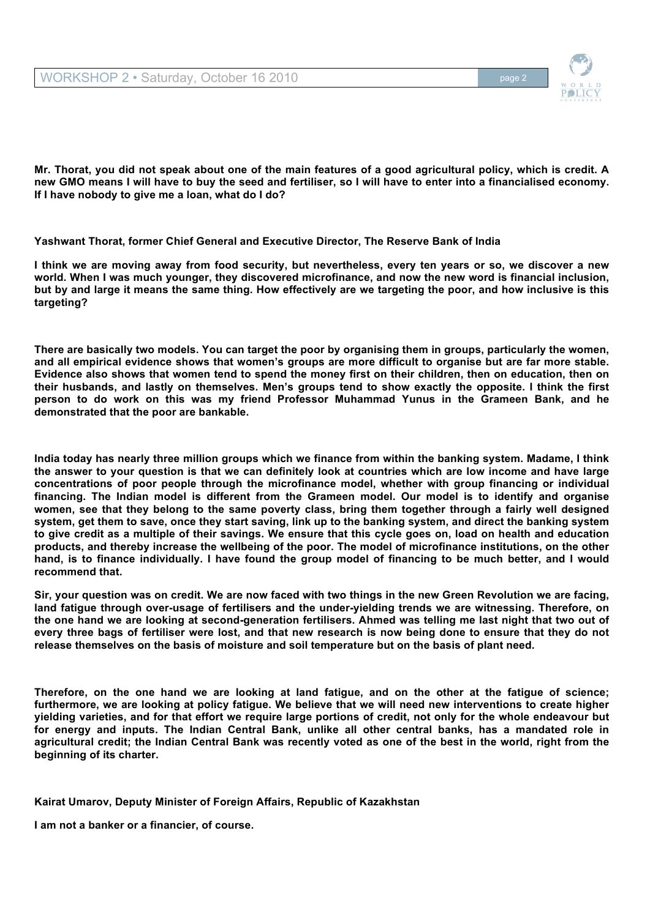

**Mr. Thorat, you did not speak about one of the main features of a good agricultural policy, which is credit. A new GMO means I will have to buy the seed and fertiliser, so I will have to enter into a financialised economy. If I have nobody to give me a loan, what do I do?** 

**Yashwant Thorat, former Chief General and Executive Director, The Reserve Bank of India**

**I think we are moving away from food security, but nevertheless, every ten years or so, we discover a new world. When I was much younger, they discovered microfinance, and now the new word is financial inclusion, but by and large it means the same thing. How effectively are we targeting the poor, and how inclusive is this targeting?** 

**There are basically two models. You can target the poor by organising them in groups, particularly the women, and all empirical evidence shows that women's groups are more difficult to organise but are far more stable. Evidence also shows that women tend to spend the money first on their children, then on education, then on their husbands, and lastly on themselves. Men's groups tend to show exactly the opposite. I think the first person to do work on this was my friend Professor Muhammad Yunus in the Grameen Bank, and he demonstrated that the poor are bankable.** 

**India today has nearly three million groups which we finance from within the banking system. Madame, I think the answer to your question is that we can definitely look at countries which are low income and have large concentrations of poor people through the microfinance model, whether with group financing or individual financing. The Indian model is different from the Grameen model. Our model is to identify and organise women, see that they belong to the same poverty class, bring them together through a fairly well designed system, get them to save, once they start saving, link up to the banking system, and direct the banking system to give credit as a multiple of their savings. We ensure that this cycle goes on, load on health and education products, and thereby increase the wellbeing of the poor. The model of microfinance institutions, on the other hand, is to finance individually. I have found the group model of financing to be much better, and I would recommend that.** 

**Sir, your question was on credit. We are now faced with two things in the new Green Revolution we are facing, land fatigue through over-usage of fertilisers and the under-yielding trends we are witnessing. Therefore, on the one hand we are looking at second-generation fertilisers. Ahmed was telling me last night that two out of every three bags of fertiliser were lost, and that new research is now being done to ensure that they do not release themselves on the basis of moisture and soil temperature but on the basis of plant need.** 

**Therefore, on the one hand we are looking at land fatigue, and on the other at the fatigue of science; furthermore, we are looking at policy fatigue. We believe that we will need new interventions to create higher yielding varieties, and for that effort we require large portions of credit, not only for the whole endeavour but for energy and inputs. The Indian Central Bank, unlike all other central banks, has a mandated role in agricultural credit; the Indian Central Bank was recently voted as one of the best in the world, right from the beginning of its charter.** 

**Kairat Umarov, Deputy Minister of Foreign Affairs, Republic of Kazakhstan**

**I am not a banker or a financier, of course.**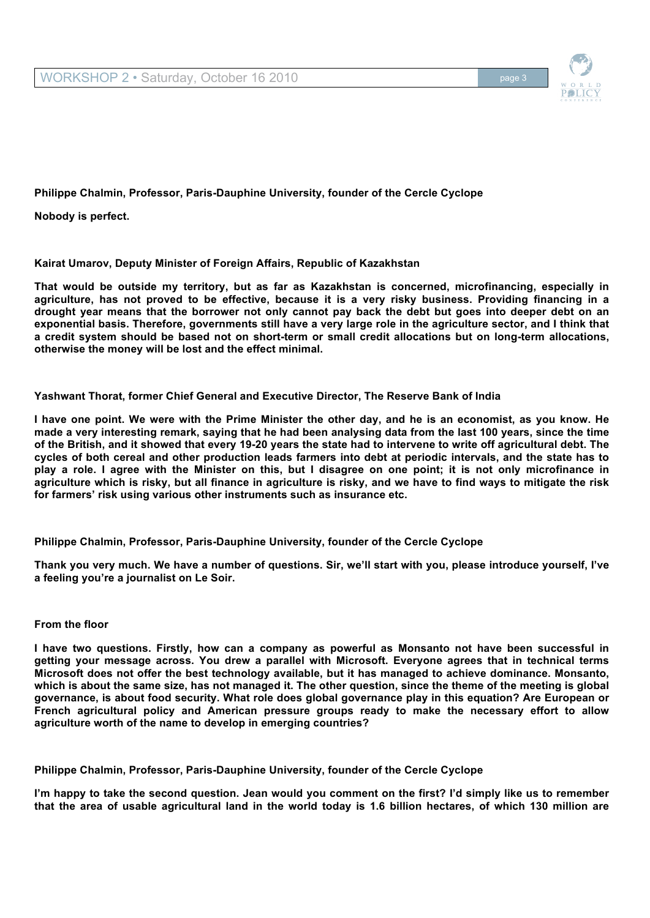**Nobody is perfect.** 

# **Kairat Umarov, Deputy Minister of Foreign Affairs, Republic of Kazakhstan**

**That would be outside my territory, but as far as Kazakhstan is concerned, microfinancing, especially in agriculture, has not proved to be effective, because it is a very risky business. Providing financing in a drought year means that the borrower not only cannot pay back the debt but goes into deeper debt on an exponential basis. Therefore, governments still have a very large role in the agriculture sector, and I think that a credit system should be based not on short-term or small credit allocations but on long-term allocations, otherwise the money will be lost and the effect minimal.** 

# **Yashwant Thorat, former Chief General and Executive Director, The Reserve Bank of India**

**I have one point. We were with the Prime Minister the other day, and he is an economist, as you know. He made a very interesting remark, saying that he had been analysing data from the last 100 years, since the time of the British, and it showed that every 19-20 years the state had to intervene to write off agricultural debt. The cycles of both cereal and other production leads farmers into debt at periodic intervals, and the state has to play a role. I agree with the Minister on this, but I disagree on one point; it is not only microfinance in agriculture which is risky, but all finance in agriculture is risky, and we have to find ways to mitigate the risk for farmers' risk using various other instruments such as insurance etc.** 

## **Philippe Chalmin, Professor, Paris-Dauphine University, founder of the Cercle Cyclope**

**Thank you very much. We have a number of questions. Sir, we'll start with you, please introduce yourself, I've a feeling you're a journalist on Le Soir.**

## **From the floor**

**I have two questions. Firstly, how can a company as powerful as Monsanto not have been successful in getting your message across. You drew a parallel with Microsoft. Everyone agrees that in technical terms Microsoft does not offer the best technology available, but it has managed to achieve dominance. Monsanto, which is about the same size, has not managed it. The other question, since the theme of the meeting is global governance, is about food security. What role does global governance play in this equation? Are European or French agricultural policy and American pressure groups ready to make the necessary effort to allow agriculture worth of the name to develop in emerging countries?**

**Philippe Chalmin, Professor, Paris-Dauphine University, founder of the Cercle Cyclope**

**I'm happy to take the second question. Jean would you comment on the first? I'd simply like us to remember that the area of usable agricultural land in the world today is 1.6 billion hectares, of which 130 million are**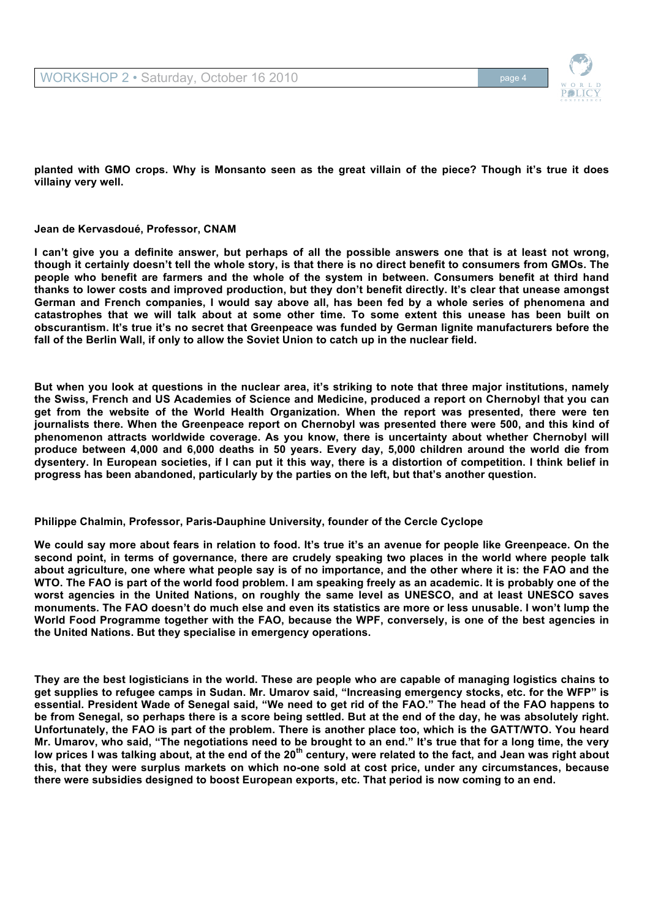**planted with GMO crops. Why is Monsanto seen as the great villain of the piece? Though it's true it does villainy very well.**

# **Jean de Kervasdoué, Professor, CNAM**

**I can't give you a definite answer, but perhaps of all the possible answers one that is at least not wrong, though it certainly doesn't tell the whole story, is that there is no direct benefit to consumers from GMOs. The people who benefit are farmers and the whole of the system in between. Consumers benefit at third hand thanks to lower costs and improved production, but they don't benefit directly. It's clear that unease amongst German and French companies, I would say above all, has been fed by a whole series of phenomena and catastrophes that we will talk about at some other time. To some extent this unease has been built on obscurantism. It's true it's no secret that Greenpeace was funded by German lignite manufacturers before the fall of the Berlin Wall, if only to allow the Soviet Union to catch up in the nuclear field.** 

**But when you look at questions in the nuclear area, it's striking to note that three major institutions, namely the Swiss, French and US Academies of Science and Medicine, produced a report on Chernobyl that you can get from the website of the World Health Organization. When the report was presented, there were ten journalists there. When the Greenpeace report on Chernobyl was presented there were 500, and this kind of phenomenon attracts worldwide coverage. As you know, there is uncertainty about whether Chernobyl will produce between 4,000 and 6,000 deaths in 50 years. Every day, 5,000 children around the world die from dysentery. In European societies, if I can put it this way, there is a distortion of competition. I think belief in progress has been abandoned, particularly by the parties on the left, but that's another question.**

# **Philippe Chalmin, Professor, Paris-Dauphine University, founder of the Cercle Cyclope**

**We could say more about fears in relation to food. It's true it's an avenue for people like Greenpeace. On the second point, in terms of governance, there are crudely speaking two places in the world where people talk about agriculture, one where what people say is of no importance, and the other where it is: the FAO and the WTO. The FAO is part of the world food problem. I am speaking freely as an academic. It is probably one of the worst agencies in the United Nations, on roughly the same level as UNESCO, and at least UNESCO saves monuments. The FAO doesn't do much else and even its statistics are more or less unusable. I won't lump the World Food Programme together with the FAO, because the WPF, conversely, is one of the best agencies in the United Nations. But they specialise in emergency operations.** 

**They are the best logisticians in the world. These are people who are capable of managing logistics chains to get supplies to refugee camps in Sudan. Mr. Umarov said, "Increasing emergency stocks, etc. for the WFP" is essential. President Wade of Senegal said, "We need to get rid of the FAO." The head of the FAO happens to be from Senegal, so perhaps there is a score being settled. But at the end of the day, he was absolutely right. Unfortunately, the FAO is part of the problem. There is another place too, which is the GATT/WTO. You heard Mr. Umarov, who said, "The negotiations need to be brought to an end." It's true that for a long time, the very low prices I was talking about, at the end of the 20th century, were related to the fact, and Jean was right about this, that they were surplus markets on which no-one sold at cost price, under any circumstances, because there were subsidies designed to boost European exports, etc. That period is now coming to an end.**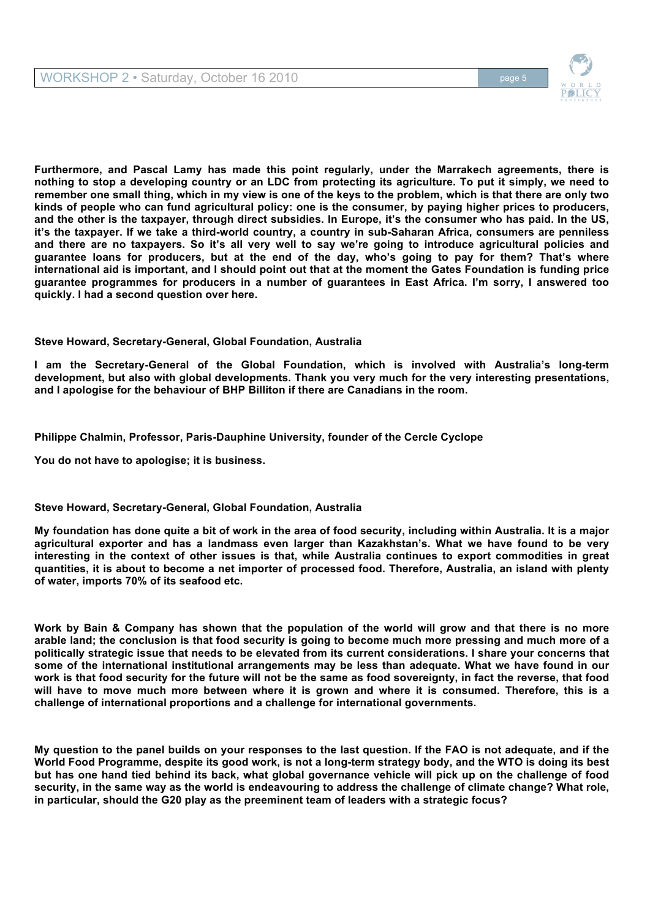

**Furthermore, and Pascal Lamy has made this point regularly, under the Marrakech agreements, there is nothing to stop a developing country or an LDC from protecting its agriculture. To put it simply, we need to remember one small thing, which in my view is one of the keys to the problem, which is that there are only two kinds of people who can fund agricultural policy: one is the consumer, by paying higher prices to producers, and the other is the taxpayer, through direct subsidies. In Europe, it's the consumer who has paid. In the US, it's the taxpayer. If we take a third-world country, a country in sub-Saharan Africa, consumers are penniless and there are no taxpayers. So it's all very well to say we're going to introduce agricultural policies and guarantee loans for producers, but at the end of the day, who's going to pay for them? That's where international aid is important, and I should point out that at the moment the Gates Foundation is funding price guarantee programmes for producers in a number of guarantees in East Africa. I'm sorry, I answered too quickly. I had a second question over here.**

# **Steve Howard, Secretary-General, Global Foundation, Australia**

**I am the Secretary-General of the Global Foundation, which is involved with Australia's long-term development, but also with global developments. Thank you very much for the very interesting presentations, and I apologise for the behaviour of BHP Billiton if there are Canadians in the room.** 

**Philippe Chalmin, Professor, Paris-Dauphine University, founder of the Cercle Cyclope**

**You do not have to apologise; it is business.** 

# **Steve Howard, Secretary-General, Global Foundation, Australia**

**My foundation has done quite a bit of work in the area of food security, including within Australia. It is a major agricultural exporter and has a landmass even larger than Kazakhstan's. What we have found to be very interesting in the context of other issues is that, while Australia continues to export commodities in great quantities, it is about to become a net importer of processed food. Therefore, Australia, an island with plenty of water, imports 70% of its seafood etc.** 

**Work by Bain & Company has shown that the population of the world will grow and that there is no more arable land; the conclusion is that food security is going to become much more pressing and much more of a politically strategic issue that needs to be elevated from its current considerations. I share your concerns that some of the international institutional arrangements may be less than adequate. What we have found in our work is that food security for the future will not be the same as food sovereignty, in fact the reverse, that food will have to move much more between where it is grown and where it is consumed. Therefore, this is a challenge of international proportions and a challenge for international governments.**

**My question to the panel builds on your responses to the last question. If the FAO is not adequate, and if the World Food Programme, despite its good work, is not a long-term strategy body, and the WTO is doing its best but has one hand tied behind its back, what global governance vehicle will pick up on the challenge of food security, in the same way as the world is endeavouring to address the challenge of climate change? What role, in particular, should the G20 play as the preeminent team of leaders with a strategic focus?**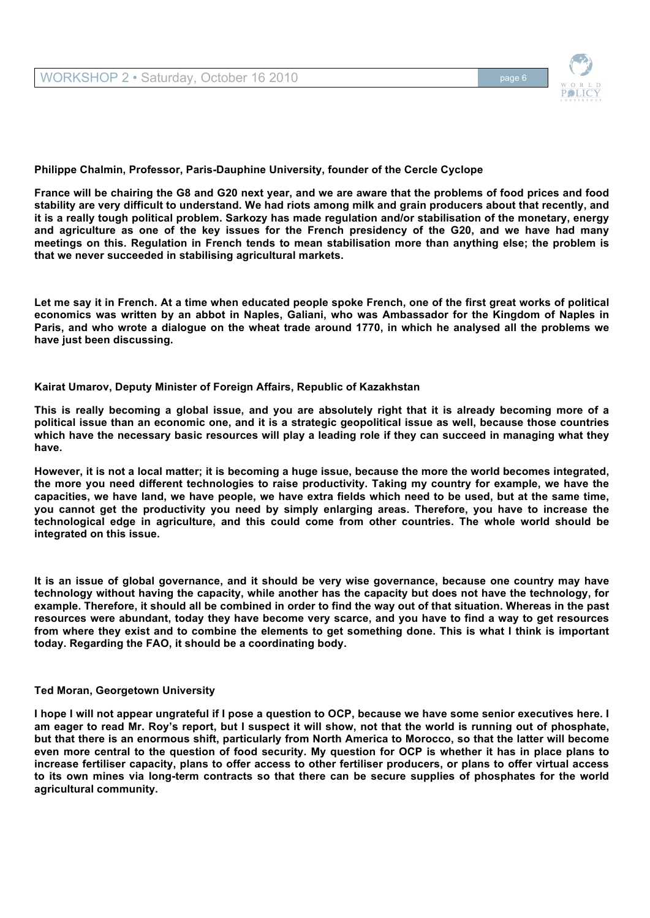

**France will be chairing the G8 and G20 next year, and we are aware that the problems of food prices and food stability are very difficult to understand. We had riots among milk and grain producers about that recently, and it is a really tough political problem. Sarkozy has made regulation and/or stabilisation of the monetary, energy and agriculture as one of the key issues for the French presidency of the G20, and we have had many meetings on this. Regulation in French tends to mean stabilisation more than anything else; the problem is that we never succeeded in stabilising agricultural markets.** 

**Let me say it in French. At a time when educated people spoke French, one of the first great works of political economics was written by an abbot in Naples, Galiani, who was Ambassador for the Kingdom of Naples in Paris, and who wrote a dialogue on the wheat trade around 1770, in which he analysed all the problems we have just been discussing.**

## **Kairat Umarov, Deputy Minister of Foreign Affairs, Republic of Kazakhstan**

**This is really becoming a global issue, and you are absolutely right that it is already becoming more of a political issue than an economic one, and it is a strategic geopolitical issue as well, because those countries which have the necessary basic resources will play a leading role if they can succeed in managing what they have.**

**However, it is not a local matter; it is becoming a huge issue, because the more the world becomes integrated, the more you need different technologies to raise productivity. Taking my country for example, we have the capacities, we have land, we have people, we have extra fields which need to be used, but at the same time, you cannot get the productivity you need by simply enlarging areas. Therefore, you have to increase the technological edge in agriculture, and this could come from other countries. The whole world should be integrated on this issue.**

**It is an issue of global governance, and it should be very wise governance, because one country may have technology without having the capacity, while another has the capacity but does not have the technology, for example. Therefore, it should all be combined in order to find the way out of that situation. Whereas in the past resources were abundant, today they have become very scarce, and you have to find a way to get resources from where they exist and to combine the elements to get something done. This is what I think is important today. Regarding the FAO, it should be a coordinating body.**

## **Ted Moran, Georgetown University**

**I hope I will not appear ungrateful if I pose a question to OCP, because we have some senior executives here. I am eager to read Mr. Roy's report, but I suspect it will show, not that the world is running out of phosphate, but that there is an enormous shift, particularly from North America to Morocco, so that the latter will become even more central to the question of food security. My question for OCP is whether it has in place plans to increase fertiliser capacity, plans to offer access to other fertiliser producers, or plans to offer virtual access to its own mines via long-term contracts so that there can be secure supplies of phosphates for the world agricultural community.**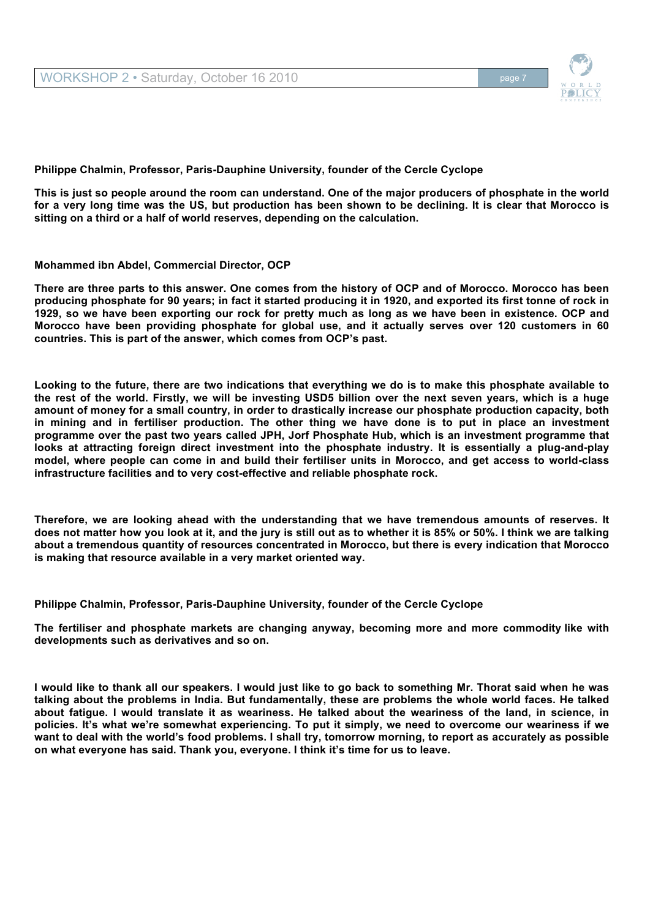

**This is just so people around the room can understand. One of the major producers of phosphate in the world for a very long time was the US, but production has been shown to be declining. It is clear that Morocco is sitting on a third or a half of world reserves, depending on the calculation.** 

## **Mohammed ibn Abdel, Commercial Director, OCP**

**There are three parts to this answer. One comes from the history of OCP and of Morocco. Morocco has been producing phosphate for 90 years; in fact it started producing it in 1920, and exported its first tonne of rock in 1929, so we have been exporting our rock for pretty much as long as we have been in existence. OCP and Morocco have been providing phosphate for global use, and it actually serves over 120 customers in 60 countries. This is part of the answer, which comes from OCP's past.** 

**Looking to the future, there are two indications that everything we do is to make this phosphate available to the rest of the world. Firstly, we will be investing USD5 billion over the next seven years, which is a huge amount of money for a small country, in order to drastically increase our phosphate production capacity, both in mining and in fertiliser production. The other thing we have done is to put in place an investment programme over the past two years called JPH, Jorf Phosphate Hub, which is an investment programme that looks at attracting foreign direct investment into the phosphate industry. It is essentially a plug-and-play model, where people can come in and build their fertiliser units in Morocco, and get access to world-class infrastructure facilities and to very cost-effective and reliable phosphate rock.** 

**Therefore, we are looking ahead with the understanding that we have tremendous amounts of reserves. It does not matter how you look at it, and the jury is still out as to whether it is 85% or 50%. I think we are talking about a tremendous quantity of resources concentrated in Morocco, but there is every indication that Morocco is making that resource available in a very market oriented way.**

**Philippe Chalmin, Professor, Paris-Dauphine University, founder of the Cercle Cyclope**

**The fertiliser and phosphate markets are changing anyway, becoming more and more commodity like with developments such as derivatives and so on.** 

**I would like to thank all our speakers. I would just like to go back to something Mr. Thorat said when he was talking about the problems in India. But fundamentally, these are problems the whole world faces. He talked about fatigue. I would translate it as weariness. He talked about the weariness of the land, in science, in policies. It's what we're somewhat experiencing. To put it simply, we need to overcome our weariness if we want to deal with the world's food problems. I shall try, tomorrow morning, to report as accurately as possible on what everyone has said. Thank you, everyone. I think it's time for us to leave.**